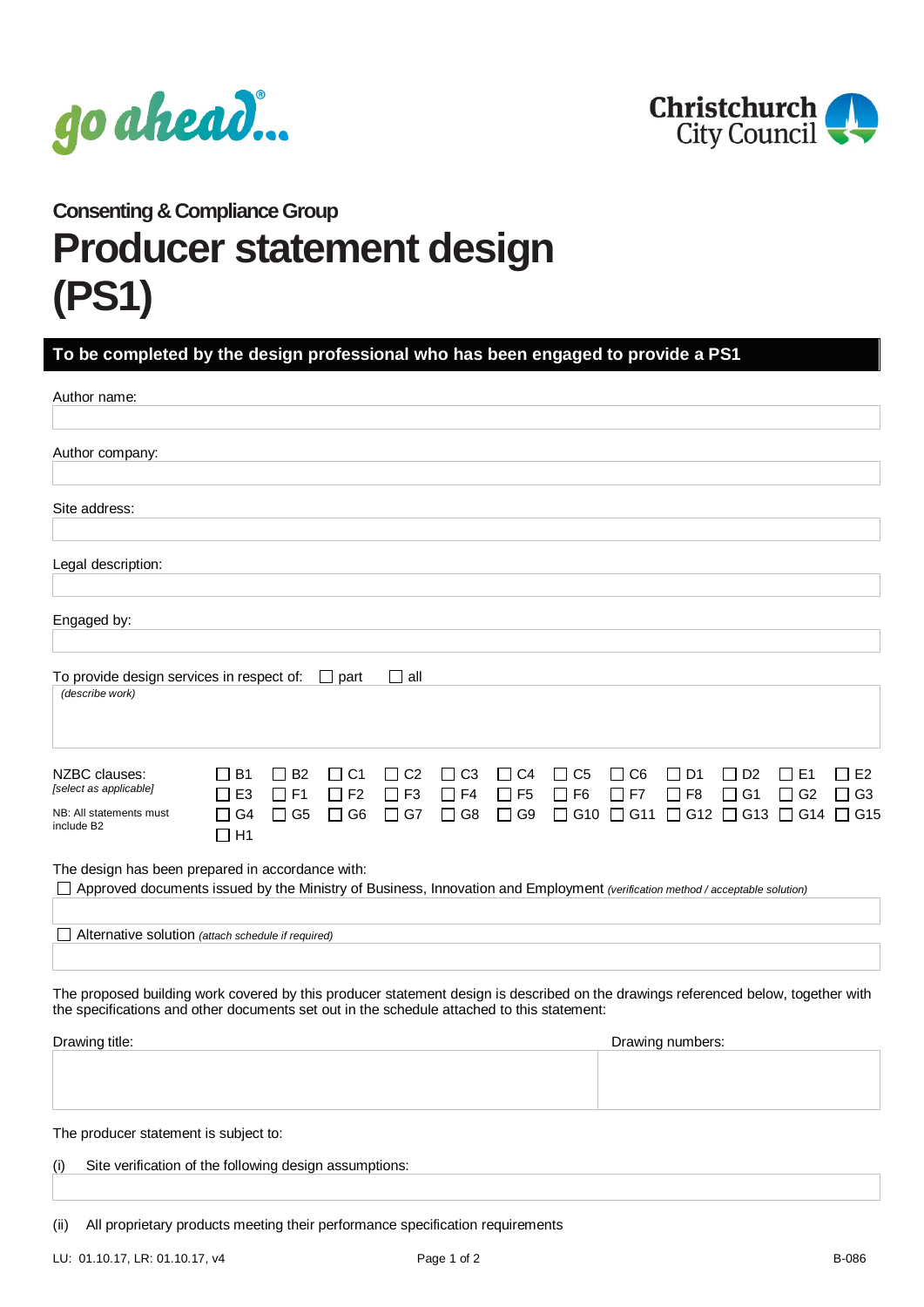



**Consenting & Compliance Group**

## **Producer statement design (PS1)**

## **To be completed by the design professional who has been engaged to provide a PS1**

| Author name:                                                                                                                                                                                                                    |                                                     |                                     |                                                                 |                                                 |                                                     |                                     |                            |                                            |                             |                                        |                             |                                                                       |
|---------------------------------------------------------------------------------------------------------------------------------------------------------------------------------------------------------------------------------|-----------------------------------------------------|-------------------------------------|-----------------------------------------------------------------|-------------------------------------------------|-----------------------------------------------------|-------------------------------------|----------------------------|--------------------------------------------|-----------------------------|----------------------------------------|-----------------------------|-----------------------------------------------------------------------|
| Author company:                                                                                                                                                                                                                 |                                                     |                                     |                                                                 |                                                 |                                                     |                                     |                            |                                            |                             |                                        |                             |                                                                       |
| Site address:                                                                                                                                                                                                                   |                                                     |                                     |                                                                 |                                                 |                                                     |                                     |                            |                                            |                             |                                        |                             |                                                                       |
| Legal description:                                                                                                                                                                                                              |                                                     |                                     |                                                                 |                                                 |                                                     |                                     |                            |                                            |                             |                                        |                             |                                                                       |
| Engaged by:                                                                                                                                                                                                                     |                                                     |                                     |                                                                 |                                                 |                                                     |                                     |                            |                                            |                             |                                        |                             |                                                                       |
| To provide design services in respect of:<br>(describe work)                                                                                                                                                                    |                                                     |                                     | $\Box$ part                                                     | ⊟ all                                           |                                                     |                                     |                            |                                            |                             |                                        |                             |                                                                       |
| NZBC clauses:<br>[select as applicable]<br>NB: All statements must<br>include B2                                                                                                                                                | $\square$ B1<br>$\Box$ E3<br>$\Box$ G4<br>$\Box$ H1 | $\Box$ B2<br>$\Box$ F1<br>$\Box$ G5 | C <sub>1</sub><br>$\perp$<br>$\Box$ F <sub>2</sub><br>$\Box$ G6 | $\Box$ C <sub>2</sub><br>$\Box$ F3<br>$\Box$ G7 | C <sub>3</sub><br>$\perp$<br>$\Box$ F4<br>$\Box$ G8 | $\Box$ C4<br>$\Box$ F5<br>$\Box$ G9 | C5<br>$\perp$<br>$\Box$ F6 | $\Box$ C6<br>$\sqsupset$ F7<br>□ G10 □ G11 | D <sub>1</sub><br>$\Box$ F8 | D <sub>2</sub><br>$\perp$<br>$\Box$ G1 | E <sub>1</sub><br>$\Box$ G2 | $\Box$ E2<br>$\Box$ G3<br>$\Box$ G12 $\Box$ G13 $\Box$ G14 $\Box$ G15 |
| The design has been prepared in accordance with:<br>Approved documents issued by the Ministry of Business, Innovation and Employment (verification method / acceptable solution)                                                |                                                     |                                     |                                                                 |                                                 |                                                     |                                     |                            |                                            |                             |                                        |                             |                                                                       |
| Alternative solution (attach schedule if required)                                                                                                                                                                              |                                                     |                                     |                                                                 |                                                 |                                                     |                                     |                            |                                            |                             |                                        |                             |                                                                       |
| The proposed building work covered by this producer statement design is described on the drawings referenced below, together with<br>the specifications and other documents set out in the schedule attached to this statement: |                                                     |                                     |                                                                 |                                                 |                                                     |                                     |                            |                                            |                             |                                        |                             |                                                                       |
| Drawing title:                                                                                                                                                                                                                  |                                                     |                                     |                                                                 |                                                 |                                                     |                                     |                            |                                            | Drawing numbers:            |                                        |                             |                                                                       |

The producer statement is subject to:

| (i) | Site verification of the following design assumptions: |
|-----|--------------------------------------------------------|
|     |                                                        |

(ii) All proprietary products meeting their performance specification requirements